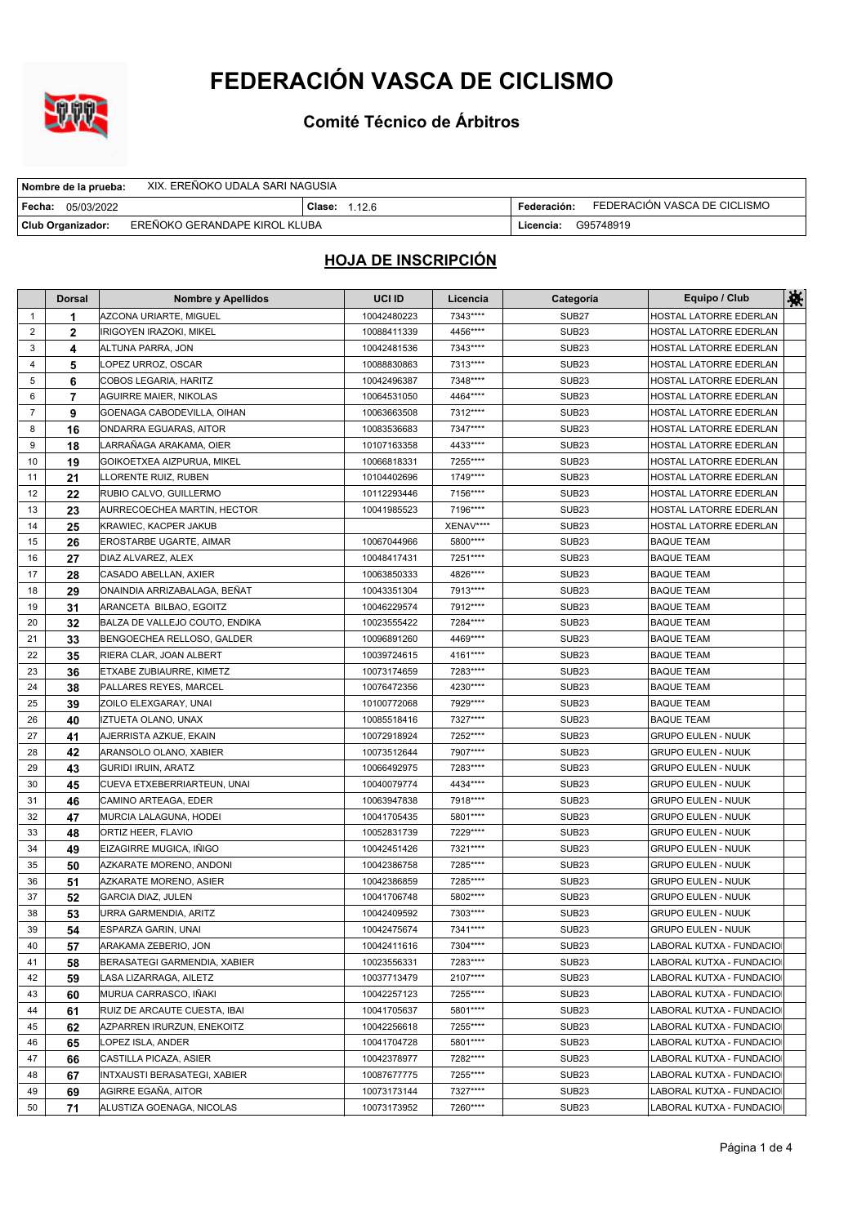

**Comité Técnico de Árbitros**

| XIX. EREÑOKO UDALA SARI NAGUSIA<br>  Nombre de la prueba: |                      |             |                              |
|-----------------------------------------------------------|----------------------|-------------|------------------------------|
| Fecha:<br>05/03/2022                                      | <b>Clase: 1.12.6</b> | Federación: | FEDERACIÓN VASCA DE CICLISMO |
| EREÑOKO GERANDAPE KIROL KLUBA<br><b>Club Organizador:</b> |                      | Licencia:   | G95748919                    |

|                | <b>Dorsal</b> | Nombre y Apellidos             | UCI ID      | Licencia  | Categoría         | Equipo / Club             | 鮝 |
|----------------|---------------|--------------------------------|-------------|-----------|-------------------|---------------------------|---|
| 1              | 1             | AZCONA URIARTE, MIGUEL         | 10042480223 | 7343****  | SUB <sub>27</sub> | HOSTAL LATORRE EDERLAN    |   |
| 2              | $\mathbf{2}$  | <b>IRIGOYEN IRAZOKI, MIKEL</b> | 10088411339 | 4456****  | <b>SUB23</b>      | HOSTAL LATORRE EDERLAN    |   |
| 3              | 4             | ALTUNA PARRA, JON              | 10042481536 | 7343****  | SUB <sub>23</sub> | HOSTAL LATORRE EDERLAN    |   |
| 4              | 5             | LOPEZ URROZ, OSCAR             | 10088830863 | 7313****  | <b>SUB23</b>      | HOSTAL LATORRE EDERLAN    |   |
| 5              | 6             | COBOS LEGARIA, HARITZ          | 10042496387 | 7348****  | <b>SUB23</b>      | HOSTAL LATORRE EDERLAN    |   |
| 6              | 7             | <b>AGUIRRE MAIER, NIKOLAS</b>  | 10064531050 | 4464 **** | SUB <sub>23</sub> | HOSTAL LATORRE EDERLAN    |   |
| $\overline{7}$ | 9             | GOENAGA CABODEVILLA, OIHAN     | 10063663508 | 7312****  | SUB <sub>23</sub> | HOSTAL LATORRE EDERLAN    |   |
| 8              | 16            | ONDARRA EGUARAS, AITOR         | 10083536683 | 7347****  | <b>SUB23</b>      | HOSTAL LATORRE EDERLAN    |   |
| 9              | 18            | LARRANAGA ARAKAMA, OIER        | 10107163358 | 4433 **** | <b>SUB23</b>      | HOSTAL LATORRE EDERLAN    |   |
| 10             | 19            | GOIKOETXEA AIZPURUA, MIKEL     | 10066818331 | 7255****  | <b>SUB23</b>      | HOSTAL LATORRE EDERLAN    |   |
| 11             | 21            | LLORENTE RUIZ, RUBEN           | 10104402696 | 1749****  | <b>SUB23</b>      | HOSTAL LATORRE EDERLAN    |   |
| 12             | 22            | RUBIO CALVO, GUILLERMO         | 10112293446 | 7156****  | SUB <sub>23</sub> | HOSTAL LATORRE EDERLAN    |   |
| 13             | 23            | AURRECOECHEA MARTIN, HECTOR    | 10041985523 | 7196****  | SUB <sub>23</sub> | HOSTAL LATORRE EDERLAN    |   |
| 14             | 25            | KRAWIEC, KACPER JAKUB          |             | XENAV**** | <b>SUB23</b>      | HOSTAL LATORRE EDERLAN    |   |
| 15             | 26            | EROSTARBE UGARTE, AIMAR        | 10067044966 | 5800****  | <b>SUB23</b>      | <b>BAQUE TEAM</b>         |   |
| 16             | 27            | DIAZ ALVAREZ, ALEX             | 10048417431 | 7251****  | <b>SUB23</b>      | <b>BAQUE TEAM</b>         |   |
| 17             | 28            | CASADO ABELLAN, AXIER          | 10063850333 | 4826****  | SUB <sub>23</sub> | <b>BAQUE TEAM</b>         |   |
| 18             | 29            | ONAINDIA ARRIZABALAGA, BEÑAT   | 10043351304 | 7913****  | SUB <sub>23</sub> | <b>BAQUE TEAM</b>         |   |
| 19             | 31            | ARANCETA BILBAO, EGOITZ        | 10046229574 | 7912****  | SUB <sub>23</sub> | <b>BAQUE TEAM</b>         |   |
| 20             | 32            | BALZA DE VALLEJO COUTO, ENDIKA | 10023555422 | 7284****  | <b>SUB23</b>      | <b>BAQUE TEAM</b>         |   |
| 21             | 33            | BENGOECHEA RELLOSO, GALDER     | 10096891260 | 4469****  | SUB <sub>23</sub> | <b>BAQUE TEAM</b>         |   |
| 22             | 35            | RIERA CLAR, JOAN ALBERT        | 10039724615 | 4161****  | <b>SUB23</b>      | <b>BAQUE TEAM</b>         |   |
| 23             | 36            | ETXABE ZUBIAURRE, KIMETZ       | 10073174659 | 7283****  | <b>SUB23</b>      | <b>BAQUE TEAM</b>         |   |
| 24             | 38            | PALLARES REYES, MARCEL         | 10076472356 | 4230****  | <b>SUB23</b>      | <b>BAQUE TEAM</b>         |   |
| 25             | 39            | ZOILO ELEXGARAY, UNAI          | 10100772068 | 7929****  | <b>SUB23</b>      | <b>BAQUE TEAM</b>         |   |
| 26             | 40            | IZTUETA OLANO, UNAX            | 10085518416 | 7327****  | <b>SUB23</b>      | <b>BAQUE TEAM</b>         |   |
| 27             | 41            | AJERRISTA AZKUE, EKAIN         | 10072918924 | 7252****  | <b>SUB23</b>      | <b>GRUPO EULEN - NUUK</b> |   |
| 28             | 42            | ARANSOLO OLANO, XABIER         | 10073512644 | 7907****  | SUB <sub>23</sub> | <b>GRUPO EULEN - NUUK</b> |   |
| 29             | 43            | GURIDI IRUIN, ARATZ            | 10066492975 | 7283****  | SUB <sub>23</sub> | <b>GRUPO EULEN - NUUK</b> |   |
| 30             | 45            | CUEVA ETXEBERRIARTEUN, UNAI    | 10040079774 | 4434 **** | <b>SUB23</b>      | <b>GRUPO EULEN - NUUK</b> |   |
| 31             | 46            | CAMINO ARTEAGA, EDER           | 10063947838 | 7918****  | SUB <sub>23</sub> | <b>GRUPO EULEN - NUUK</b> |   |
| 32             | 47            | MURCIA LALAGUNA, HODEI         | 10041705435 | 5801 **** | <b>SUB23</b>      | <b>GRUPO EULEN - NUUK</b> |   |
| 33             | 48            | ORTIZ HEER, FLAVIO             | 10052831739 | 7229 **** | SUB <sub>23</sub> | <b>GRUPO EULEN - NUUK</b> |   |
| 34             | 49            | EIZAGIRRE MUGICA, INIGO        | 10042451426 | 7321****  | <b>SUB23</b>      | <b>GRUPO EULEN - NUUK</b> |   |
| 35             | 50            | AZKARATE MORENO, ANDONI        | 10042386758 | 7285****  | <b>SUB23</b>      | <b>GRUPO EULEN - NUUK</b> |   |
| 36             | 51            | AZKARATE MORENO, ASIER         | 10042386859 | 7285****  | SUB <sub>23</sub> | <b>GRUPO EULEN - NUUK</b> |   |
| 37             | 52            | <b>GARCIA DIAZ, JULEN</b>      | 10041706748 | 5802****  | <b>SUB23</b>      | <b>GRUPO EULEN - NUUK</b> |   |
| 38             | 53            | URRA GARMENDIA, ARITZ          | 10042409592 | 7303****  | SUB <sub>23</sub> | <b>GRUPO EULEN - NUUK</b> |   |
| 39             | 54            | ESPARZA GARIN, UNAI            | 10042475674 | 7341****  | SUB <sub>23</sub> | <b>GRUPO EULEN - NUUK</b> |   |
| 40             | 57            | ARAKAMA ZEBERIO, JON           | 10042411616 | 7304****  | SUB <sub>23</sub> | LABORAL KUTXA - FUNDACIO  |   |
| 41             | 58            | BERASATEGI GARMENDIA, XABIER   | 10023556331 | 7283****  | <b>SUB23</b>      | LABORAL KUTXA - FUNDACIO  |   |
| 42             | 59            | LASA LIZARRAGA, AILETZ         | 10037713479 | 2107****  | SUB <sub>23</sub> | LABORAL KUTXA - FUNDACIO  |   |
| 43             | 60            | MURUA CARRASCO, IÑAKI          | 10042257123 | 7255****  | SUB <sub>23</sub> | LABORAL KUTXA - FUNDACIO  |   |
| 44             | 61            | RUIZ DE ARCAUTE CUESTA, IBAI   | 10041705637 | 5801****  | SUB <sub>23</sub> | LABORAL KUTXA - FUNDACIO  |   |
| 45             | 62            | AZPARREN IRURZUN, ENEKOITZ     | 10042256618 | 7255****  | SUB <sub>23</sub> | LABORAL KUTXA - FUNDACIO  |   |
| 46             | 65            | LOPEZ ISLA, ANDER              | 10041704728 | 5801****  | SUB <sub>23</sub> | LABORAL KUTXA - FUNDACIO  |   |
| 47             | 66            | CASTILLA PICAZA, ASIER         | 10042378977 | 7282****  | SUB <sub>23</sub> | LABORAL KUTXA - FUNDACIO  |   |
| 48             | 67            | INTXAUSTI BERASATEGI, XABIER   | 10087677775 | 7255****  | SUB <sub>23</sub> | LABORAL KUTXA - FUNDACIO  |   |
| 49             | 69            | AGIRRE EGAÑA, AITOR            | 10073173144 | 7327****  | SUB <sub>23</sub> | LABORAL KUTXA - FUNDACIO  |   |
| 50             | 71            | ALUSTIZA GOENAGA, NICOLAS      | 10073173952 | 7260****  | SUB <sub>23</sub> | LABORAL KUTXA - FUNDACIO  |   |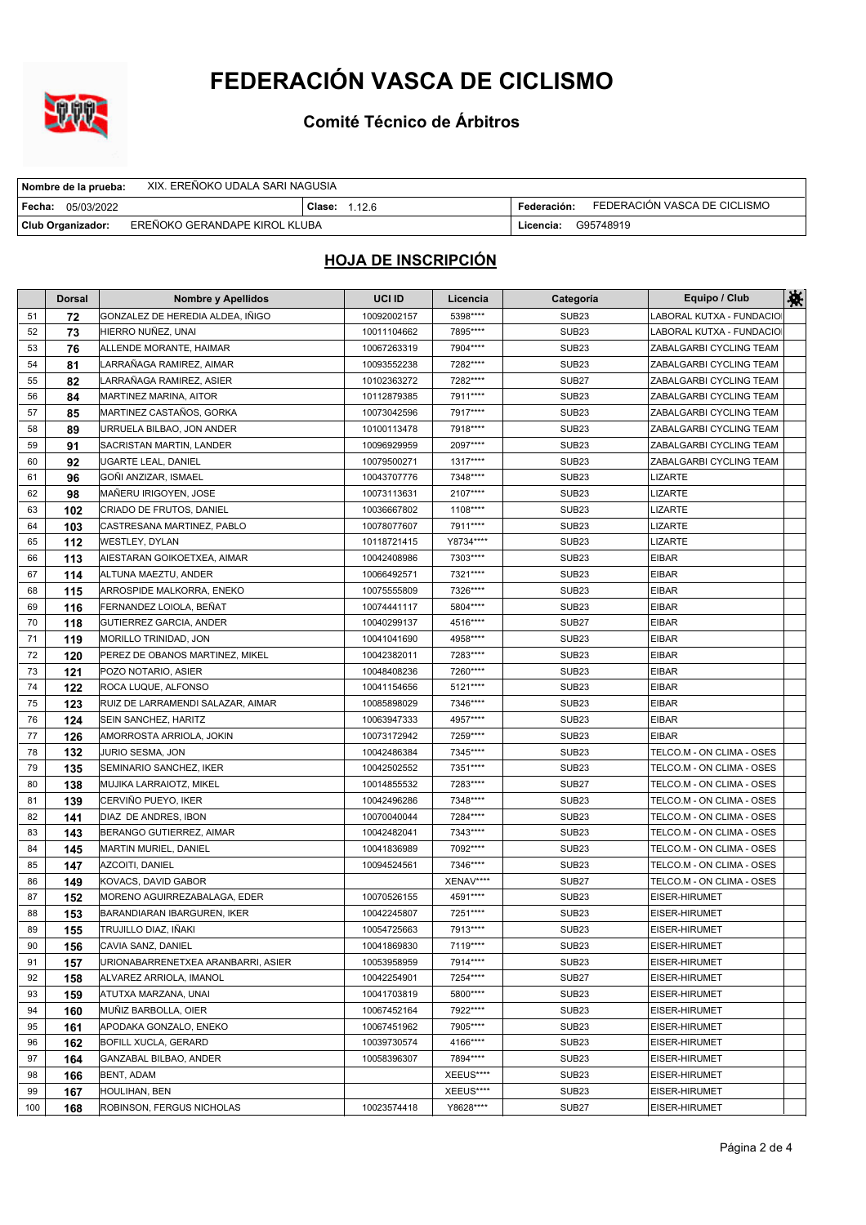

**Comité Técnico de Árbitros**

| XIX. EREÑOKO UDALA SARI NAGUSIA<br>  Nombre de la prueba: |                      |             |                              |
|-----------------------------------------------------------|----------------------|-------------|------------------------------|
| Fecha:<br>05/03/2022                                      | <b>Clase: 1.12.6</b> | Federación: | FEDERACIÓN VASCA DE CICLISMO |
| EREÑOKO GERANDAPE KIROL KLUBA<br><b>Club Organizador:</b> |                      | Licencia:   | G95748919                    |

|     | <b>Dorsal</b> | <b>Nombre y Apellidos</b>          | UCI ID      | Licencia   | Categoría         | Equipo / Club             | 鮝 |
|-----|---------------|------------------------------------|-------------|------------|-------------------|---------------------------|---|
| 51  | 72            | GONZALEZ DE HEREDIA ALDEA, IÑIGO   | 10092002157 | 5398****   | SUB <sub>23</sub> | LABORAL KUTXA - FUNDACIO  |   |
| 52  | 73            | HIERRO NUÑEZ, UNAI                 | 10011104662 | 7895****   | SUB <sub>23</sub> | LABORAL KUTXA - FUNDACIO  |   |
| 53  | 76            | ALLENDE MORANTE, HAIMAR            | 10067263319 | 7904****   | SUB <sub>23</sub> | ZABALGARBI CYCLING TEAM   |   |
| 54  | 81            | LARRAÑAGA RAMIREZ, AIMAR           | 10093552238 | 7282****   | SUB <sub>23</sub> | ZABALGARBI CYCLING TEAM   |   |
| 55  | 82            | LARRAÑAGA RAMIREZ, ASIER           | 10102363272 | 7282****   | SUB <sub>27</sub> | ZABALGARBI CYCLING TEAM   |   |
| 56  | 84            | MARTINEZ MARINA, AITOR             | 10112879385 | 7911****   | SUB <sub>23</sub> | ZABALGARBI CYCLING TEAM   |   |
| 57  | 85            | MARTINEZ CASTAÑOS, GORKA           | 10073042596 | 7917****   | SUB <sub>23</sub> | ZABALGARBI CYCLING TEAM   |   |
| 58  | 89            | URRUELA BILBAO, JON ANDER          | 10100113478 | 7918****   | SUB <sub>23</sub> | ZABALGARBI CYCLING TEAM   |   |
| 59  | 91            | SACRISTAN MARTIN, LANDER           | 10096929959 | 2097****   | SUB <sub>23</sub> | ZABALGARBI CYCLING TEAM   |   |
| 60  | 92            | UGARTE LEAL, DANIEL                | 10079500271 | 1317****   | SUB <sub>23</sub> | ZABALGARBI CYCLING TEAM   |   |
| 61  | 96            | GOÑI ANZIZAR, ISMAEL               | 10043707776 | 7348****   | SUB <sub>23</sub> | <b>LIZARTE</b>            |   |
| 62  | 98            | MAÑERU IRIGOYEN, JOSE              | 10073113631 | 2107****   | SUB <sub>23</sub> | <b>LIZARTE</b>            |   |
| 63  | 102           | CRIADO DE FRUTOS, DANIEL           | 10036667802 | 1108****   | SUB <sub>23</sub> | <b>LIZARTE</b>            |   |
| 64  | 103           | CASTRESANA MARTINEZ, PABLO         | 10078077607 | 7911****   | SUB <sub>23</sub> | <b>LIZARTE</b>            |   |
| 65  | 112           | <b>WESTLEY, DYLAN</b>              | 10118721415 | Y8734****  | SUB <sub>23</sub> | <b>LIZARTE</b>            |   |
| 66  | 113           | AIESTARAN GOIKOETXEA, AIMAR        | 10042408986 | 7303****   | SUB <sub>23</sub> | <b>EIBAR</b>              |   |
| 67  | 114           | ALTUNA MAEZTU, ANDER               | 10066492571 | 7321 ****  | SUB <sub>23</sub> | <b>EIBAR</b>              |   |
| 68  | 115           | ARROSPIDE MALKORRA, ENEKO          | 10075555809 | 7326****   | SUB <sub>23</sub> | <b>EIBAR</b>              |   |
| 69  | 116           | FERNANDEZ LOIOLA, BEÑAT            | 10074441117 | 5804****   | SUB <sub>23</sub> | <b>EIBAR</b>              |   |
| 70  | 118           | GUTIERREZ GARCIA, ANDER            | 10040299137 | 4516****   | SUB <sub>27</sub> | <b>EIBAR</b>              |   |
| 71  | 119           | MORILLO TRINIDAD, JON              | 10041041690 | 4958****   | SUB <sub>23</sub> | <b>EIBAR</b>              |   |
| 72  | 120           | PEREZ DE OBANOS MARTINEZ. MIKEL    | 10042382011 | 7283****   | SUB <sub>23</sub> | <b>EIBAR</b>              |   |
| 73  | 121           | POZO NOTARIO, ASIER                | 10048408236 | 7260****   | SUB <sub>23</sub> | <b>EIBAR</b>              |   |
| 74  | 122           | ROCA LUQUE, ALFONSO                | 10041154656 | 5121****   | SUB <sub>23</sub> | <b>EIBAR</b>              |   |
| 75  | 123           | RUIZ DE LARRAMENDI SALAZAR, AIMAR  | 10085898029 | 7346****   | SUB <sub>23</sub> | <b>EIBAR</b>              |   |
| 76  | 124           | SEIN SANCHEZ, HARITZ               | 10063947333 | 4957****   | SUB <sub>23</sub> | EIBAR                     |   |
| 77  | 126           | AMORROSTA ARRIOLA, JOKIN           | 10073172942 | 7259****   | SUB <sub>23</sub> | <b>EIBAR</b>              |   |
| 78  | 132           | JURIO SESMA, JON                   | 10042486384 | 7345****   | SUB <sub>23</sub> | TELCO.M - ON CLIMA - OSES |   |
| 79  | 135           | SEMINARIO SANCHEZ, IKER            | 10042502552 | 7351****   | SUB <sub>23</sub> | TELCO.M - ON CLIMA - OSES |   |
| 80  | 138           | MUJIKA LARRAIOTZ, MIKEL            | 10014855532 | 7283****   | SUB <sub>27</sub> | TELCO.M - ON CLIMA - OSES |   |
| 81  | 139           | CERVIÑO PUEYO, IKER                | 10042496286 | 7348****   | SUB <sub>23</sub> | TELCO.M - ON CLIMA - OSES |   |
| 82  | 141           | DIAZ DE ANDRES, IBON               | 10070040044 | 7284****   | SUB <sub>23</sub> | TELCO.M - ON CLIMA - OSES |   |
| 83  | 143           | BERANGO GUTIERREZ, AIMAR           | 10042482041 | 7343****   | SUB <sub>23</sub> | TELCO.M - ON CLIMA - OSES |   |
| 84  | 145           | MARTIN MURIEL, DANIEL              | 10041836989 | 7092****   | SUB <sub>23</sub> | TELCO.M - ON CLIMA - OSES |   |
| 85  | 147           | <b>AZCOITI, DANIEL</b>             | 10094524561 | 7346****   | SUB <sub>23</sub> | TELCO.M - ON CLIMA - OSES |   |
| 86  | 149           | <b>KOVACS, DAVID GABOR</b>         |             | XENAV****  | SUB <sub>27</sub> | TELCO.M - ON CLIMA - OSES |   |
| 87  | 152           | MORENO AGUIRREZABALAGA, EDER       | 10070526155 | 4591****   | SUB <sub>23</sub> | EISER-HIRUMET             |   |
| 88  | 153           | BARANDIARAN IBARGUREN, IKER        | 10042245807 | 7251****   | SUB <sub>23</sub> | EISER-HIRUMET             |   |
| 89  | 155           | TRUJILLO DIAZ, IÑAKI               | 10054725663 | 7913****   | SUB <sub>23</sub> | <b>EISER-HIRUMET</b>      |   |
| 90  | 156           | CAVIA SANZ, DANIEL                 | 10041869830 | 7119 ****  | SUB <sub>23</sub> | EISER-HIRUMET             |   |
| 91  | 157           | URIONABARRENETXEA ARANBARRI, ASIER | 10053958959 | 7914****   | SUB <sub>23</sub> | EISER-HIRUMET             |   |
| 92  | 158           | ALVAREZ ARRIOLA, IMANOL            | 10042254901 | 7254****   | SUB <sub>27</sub> | EISER-HIRUMET             |   |
| 93  | 159           | ATUTXA MARZANA, UNAI               | 10041703819 | 5800****   | SUB <sub>23</sub> | EISER-HIRUMET             |   |
| 94  | 160           | MUÑIZ BARBOLLA, OIER               | 10067452164 | 7922****   | SUB <sub>23</sub> | EISER-HIRUMET             |   |
| 95  | 161           | APODAKA GONZALO, ENEKO             | 10067451962 | 7905****   | SUB <sub>23</sub> | EISER-HIRUMET             |   |
| 96  | 162           | <b>BOFILL XUCLA, GERARD</b>        | 10039730574 | 4166****   | SUB <sub>23</sub> | EISER-HIRUMET             |   |
| 97  | 164           | GANZABAL BILBAO, ANDER             | 10058396307 | 7894 ****  | SUB <sub>23</sub> | EISER-HIRUMET             |   |
| 98  | 166           | BENT, ADAM                         |             | XEEUS****  | SUB <sub>23</sub> | EISER-HIRUMET             |   |
| 99  | 167           | HOULIHAN, BEN                      |             | XEEUS****  | SUB <sub>23</sub> | EISER-HIRUMET             |   |
| 100 | 168           | ROBINSON, FERGUS NICHOLAS          | 10023574418 | Y8628 **** | SUB <sub>27</sub> | EISER-HIRUMET             |   |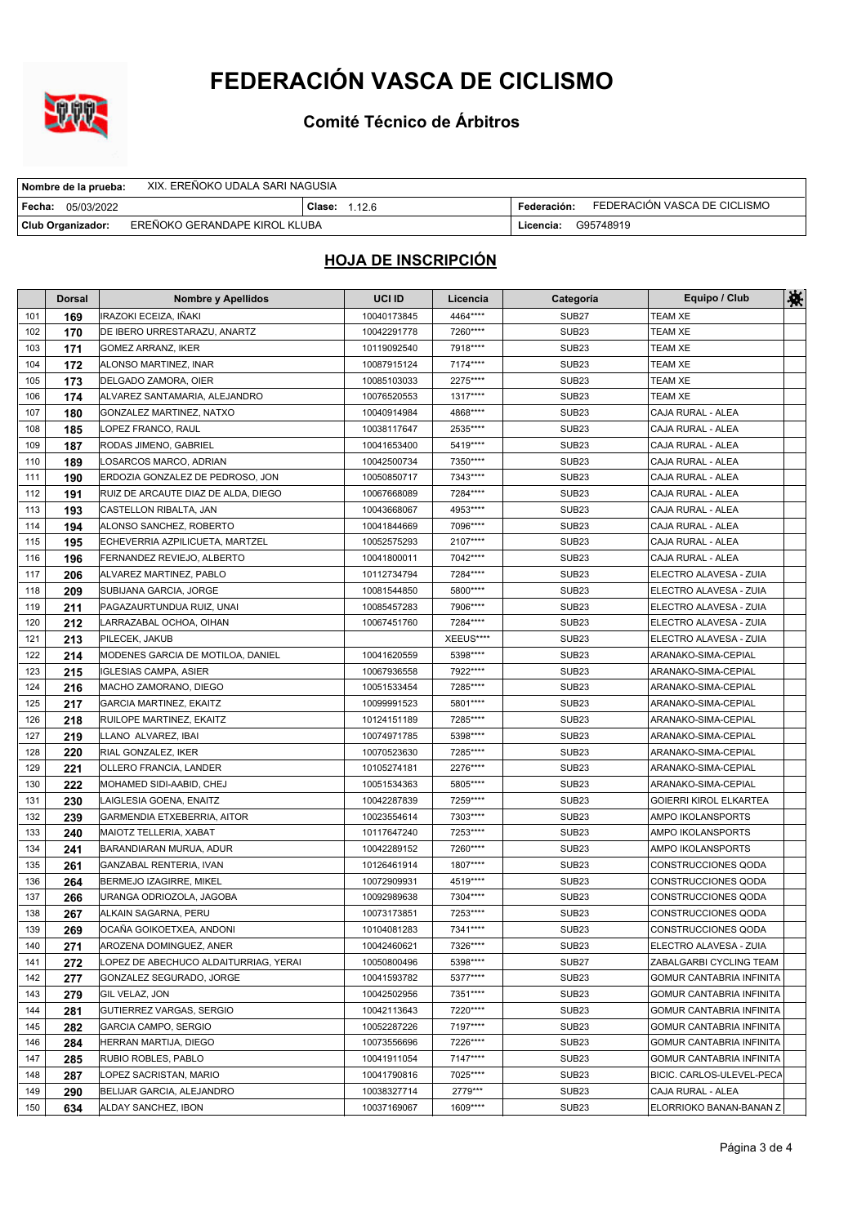

**Comité Técnico de Árbitros**

| XIX. EREÑOKO UDALA SARI NAGUSIA<br>Nombre de la prueba: |                      |                                             |
|---------------------------------------------------------|----------------------|---------------------------------------------|
| ∣ Fecha:<br>05/03/2022                                  | <b>Clase: 1.12.6</b> | FEDERACIÓN VASCA DE CICLISMO<br>Federación: |
| EREÑOKO GERANDAPE KIROL KLUBA<br>Club Organizador:      |                      | G95748919<br>Licencia:                      |

|            | <b>Dorsal</b> | <b>Nombre y Apellidos</b>                        | UCI ID                     | Licencia             | Categoría                              | Equipo / Club                                     | 茶 |
|------------|---------------|--------------------------------------------------|----------------------------|----------------------|----------------------------------------|---------------------------------------------------|---|
| 101        | 169           | IRAZOKI ECEIZA, IÑAKI                            | 10040173845                | 4464****             | SUB <sub>27</sub>                      | <b>TEAM XE</b>                                    |   |
| 102        | 170           | DE IBERO URRESTARAZU, ANARTZ                     | 10042291778                | 7260****             | <b>SUB23</b>                           | <b>TEAM XE</b>                                    |   |
| 103        | 171           | GOMEZ ARRANZ, IKER                               | 10119092540                | 7918****             | SUB <sub>23</sub>                      | TEAM XE                                           |   |
| 104        | 172           | ALONSO MARTINEZ, INAR                            | 10087915124                | 7174****             | SUB <sub>23</sub>                      | TEAM XE                                           |   |
| 105        | 173           | DELGADO ZAMORA, OIER                             | 10085103033                | 2275****             | SUB <sub>23</sub>                      | <b>TEAM XE</b>                                    |   |
| 106        | 174           | ALVAREZ SANTAMARIA, ALEJANDRO                    | 10076520553                | 1317****             | SUB <sub>23</sub>                      | TEAM XE                                           |   |
| 107        | 180           | GONZALEZ MARTINEZ, NATXO                         | 10040914984                | 4868****             | <b>SUB23</b>                           | CAJA RURAL - ALEA                                 |   |
| 108        | 185           | LOPEZ FRANCO, RAUL                               | 10038117647                | 2535****             | SUB <sub>23</sub>                      | CAJA RURAL - ALEA                                 |   |
| 109        | 187           | RODAS JIMENO, GABRIEL                            | 10041653400                | 5419****             | SUB <sub>23</sub>                      | CAJA RURAL - ALEA                                 |   |
| 110        | 189           | LOSARCOS MARCO, ADRIAN                           | 10042500734                | 7350****             | SUB <sub>23</sub>                      | CAJA RURAL - ALEA                                 |   |
| 111        | 190           | ERDOZIA GONZALEZ DE PEDROSO, JON                 | 10050850717                | 7343****             | SUB <sub>23</sub>                      | CAJA RURAL - ALEA                                 |   |
| 112        | 191           | RUIZ DE ARCAUTE DIAZ DE ALDA, DIEGO              | 10067668089                | 7284 ****            | SUB <sub>23</sub>                      | CAJA RURAL - ALEA                                 |   |
| 113        | 193           | CASTELLON RIBALTA, JAN                           | 10043668067                | 4953 ****            | SUB <sub>23</sub>                      | CAJA RURAL - ALEA                                 |   |
| 114        | 194           | ALONSO SANCHEZ, ROBERTO                          | 10041844669                | 7096****             | <b>SUB23</b>                           | CAJA RURAL - ALEA                                 |   |
| 115        | 195           | ECHEVERRIA AZPILICUETA, MARTZEL                  | 10052575293                | 2107****             | <b>SUB23</b>                           | CAJA RURAL - ALEA                                 |   |
| 116        | 196           | FERNANDEZ REVIEJO, ALBERTO                       | 10041800011                | 7042****             | SUB <sub>23</sub>                      | CAJA RURAL - ALEA                                 |   |
| 117        | 206           | ALVAREZ MARTINEZ, PABLO                          | 10112734794                | 7284 ****            | <b>SUB23</b>                           | ELECTRO ALAVESA - ZUIA                            |   |
| 118        | 209           | SUBIJANA GARCIA, JORGE                           | 10081544850                | 5800****             | SUB <sub>23</sub>                      | ELECTRO ALAVESA - ZUIA                            |   |
| 119        | 211           | PAGAZAURTUNDUA RUIZ, UNAI                        | 10085457283                | 7906****             | <b>SUB23</b>                           | ELECTRO ALAVESA - ZUIA                            |   |
| 120        | 212           | LARRAZABAL OCHOA, OIHAN                          | 10067451760                | 7284****             | SUB <sub>23</sub>                      | ELECTRO ALAVESA - ZUIA                            |   |
| 121        | 213           | PILECEK, JAKUB                                   |                            | XEEUS****            | <b>SUB23</b>                           | ELECTRO ALAVESA - ZUIA                            |   |
| 122        | 214           | MODENES GARCIA DE MOTILOA, DANIEL                | 10041620559                | 5398****             | <b>SUB23</b>                           | ARANAKO-SIMA-CEPIAL                               |   |
| 123        | 215           | <b>IGLESIAS CAMPA, ASIER</b>                     | 10067936558                | 7922****             | SUB <sub>23</sub>                      | ARANAKO-SIMA-CEPIAL                               |   |
| 124        | 216           | MACHO ZAMORANO, DIEGO                            | 10051533454                | 7285****             | SUB <sub>23</sub>                      | ARANAKO-SIMA-CEPIAL                               |   |
| 125        | 217           | <b>GARCIA MARTINEZ, EKAITZ</b>                   | 10099991523                | 5801****             | SUB <sub>23</sub>                      | ARANAKO-SIMA-CEPIAL                               |   |
| 126        | 218           | RUILOPE MARTINEZ, EKAITZ                         | 10124151189                | 7285****             | SUB <sub>23</sub>                      | ARANAKO-SIMA-CEPIAL                               |   |
| 127        | 219           | LLANO ALVAREZ, IBAI                              | 10074971785                | 5398****             | <b>SUB23</b>                           | ARANAKO-SIMA-CEPIAL                               |   |
| 128        | 220           | RIAL GONZALEZ, IKER                              | 10070523630                | 7285****             | <b>SUB23</b>                           | ARANAKO-SIMA-CEPIAL                               |   |
| 129        | 221           | OLLERO FRANCIA, LANDER                           | 10105274181                | 2276****             | <b>SUB23</b>                           | ARANAKO-SIMA-CEPIAL                               |   |
| 130        | 222           | MOHAMED SIDI-AABID, CHEJ                         | 10051534363                | 5805****             | SUB <sub>23</sub>                      | ARANAKO-SIMA-CEPIAL                               |   |
| 131        | 230           | LAIGLESIA GOENA, ENAITZ                          | 10042287839                | 7259****             | SUB <sub>23</sub>                      | <b>GOIERRI KIROL ELKARTEA</b>                     |   |
| 132        | 239           | GARMENDIA ETXEBERRIA, AITOR                      | 10023554614                | 7303****             | SUB <sub>23</sub>                      | AMPO IKOLANSPORTS                                 |   |
| 133        | 240           | MAIOTZ TELLERIA, XABAT                           | 10117647240                | 7253****             | SUB <sub>23</sub>                      | AMPO IKOLANSPORTS                                 |   |
| 134        | 241           | BARANDIARAN MURUA, ADUR                          | 10042289152                | 7260****             | SUB <sub>23</sub>                      | AMPO IKOLANSPORTS                                 |   |
| 135        | 261           | GANZABAL RENTERIA, IVAN                          | 10126461914                | 1807****             | SUB <sub>23</sub>                      | CONSTRUCCIONES QODA                               |   |
| 136        | 264           | BERMEJO IZAGIRRE, MIKEL                          | 10072909931                | 4519****             | <b>SUB23</b>                           | CONSTRUCCIONES QODA                               |   |
| 137        | 266           | URANGA ODRIOZOLA, JAGOBA<br>ALKAIN SAGARNA, PERU | 10092989638                | 7304****<br>7253**** | SUB <sub>23</sub><br>SUB <sub>23</sub> | CONSTRUCCIONES QODA                               |   |
| 138<br>139 | 267           | OCAÑA GOIKOETXEA. ANDONI                         | 10073173851<br>10104081283 | 7341****             | SUB <sub>23</sub>                      | CONSTRUCCIONES QODA<br><b>CONSTRUCCIONES QODA</b> |   |
| 140        | 269           | AROZENA DOMINGUEZ, ANER                          | 10042460621                | 7326****             | SUB <sub>23</sub>                      | ELECTRO ALAVESA - ZUIA                            |   |
| 141        | 271<br>272    | LOPEZ DE ABECHUCO ALDAITURRIAG, YERAI            | 10050800496                | 5398****             | SUB <sub>27</sub>                      | ZABALGARBI CYCLING TEAM                           |   |
| 142        | 277           | GONZALEZ SEGURADO, JORGE                         | 10041593782                | 5377****             | SUB <sub>23</sub>                      | <b>GOMUR CANTABRIA INFINITA</b>                   |   |
| 143        | 279           | GIL VELAZ, JON                                   | 10042502956                | 7351****             | SUB <sub>23</sub>                      | GOMUR CANTABRIA INFINITA                          |   |
| 144        | 281           | GUTIERREZ VARGAS, SERGIO                         | 10042113643                | 7220****             | SUB <sub>23</sub>                      | <b>GOMUR CANTABRIA INFINITA</b>                   |   |
| 145        | 282           | GARCIA CAMPO, SERGIO                             | 10052287226                | 7197****             | SUB <sub>23</sub>                      | GOMUR CANTABRIA INFINITA                          |   |
| 146        | 284           | HERRAN MARTIJA, DIEGO                            | 10073556696                | 7226****             | SUB <sub>23</sub>                      | <b>GOMUR CANTABRIA INFINITA</b>                   |   |
| 147        | 285           | RUBIO ROBLES, PABLO                              | 10041911054                | 7147****             | SUB <sub>23</sub>                      | GOMUR CANTABRIA INFINITA                          |   |
| 148        | 287           | LOPEZ SACRISTAN, MARIO                           | 10041790816                | 7025****             | SUB <sub>23</sub>                      | BICIC. CARLOS-ULEVEL-PECA                         |   |
| 149        | 290           | BELIJAR GARCIA, ALEJANDRO                        | 10038327714                | 2779***              | SUB <sub>23</sub>                      | CAJA RURAL - ALEA                                 |   |
| 150        | 634           | ALDAY SANCHEZ, IBON                              | 10037169067                | 1609****             | SUB <sub>23</sub>                      | ELORRIOKO BANAN-BANAN Z                           |   |
|            |               |                                                  |                            |                      |                                        |                                                   |   |